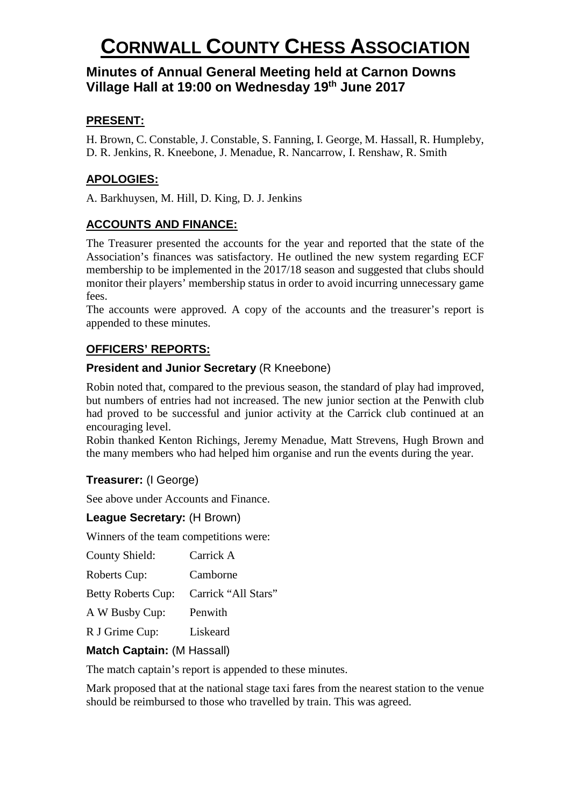# **Minutes of Annual General Meeting held at Carnon Downs Village Hall at 19:00 on Wednesday 19th June 2017**

# **PRESENT:**

H. Brown, C. Constable, J. Constable, S. Fanning, I. George, M. Hassall, R. Humpleby, D. R. Jenkins, R. Kneebone, J. Menadue, R. Nancarrow, I. Renshaw, R. Smith

## **APOLOGIES:**

A. Barkhuysen, M. Hill, D. King, D. J. Jenkins

# **ACCOUNTS AND FINANCE:**

The Treasurer presented the accounts for the year and reported that the state of the Association's finances was satisfactory. He outlined the new system regarding ECF membership to be implemented in the 2017/18 season and suggested that clubs should monitor their players' membership status in order to avoid incurring unnecessary game fees.

The accounts were approved. A copy of the accounts and the treasurer's report is appended to these minutes.

# **OFFICERS' REPORTS:**

## **President and Junior Secretary** (R Kneebone)

Robin noted that, compared to the previous season, the standard of play had improved, but numbers of entries had not increased. The new junior section at the Penwith club had proved to be successful and junior activity at the Carrick club continued at an encouraging level.

Robin thanked Kenton Richings, Jeremy Menadue, Matt Strevens, Hugh Brown and the many members who had helped him organise and run the events during the year.

## **Treasurer:** (I George)

See above under Accounts and Finance.

## **League Secretary:** (H Brown)

Winners of the team competitions were:

| County Shield:            | Carrick A           |
|---------------------------|---------------------|
| <b>Roberts Cup:</b>       | Camborne            |
| <b>Betty Roberts Cup:</b> | Carrick "All Stars" |
| A W Busby Cup:            | Penwith             |
| R J Grime Cup:            | Liskeard            |

## **Match Captain:** (M Hassall)

The match captain's report is appended to these minutes.

Mark proposed that at the national stage taxi fares from the nearest station to the venue should be reimbursed to those who travelled by train. This was agreed.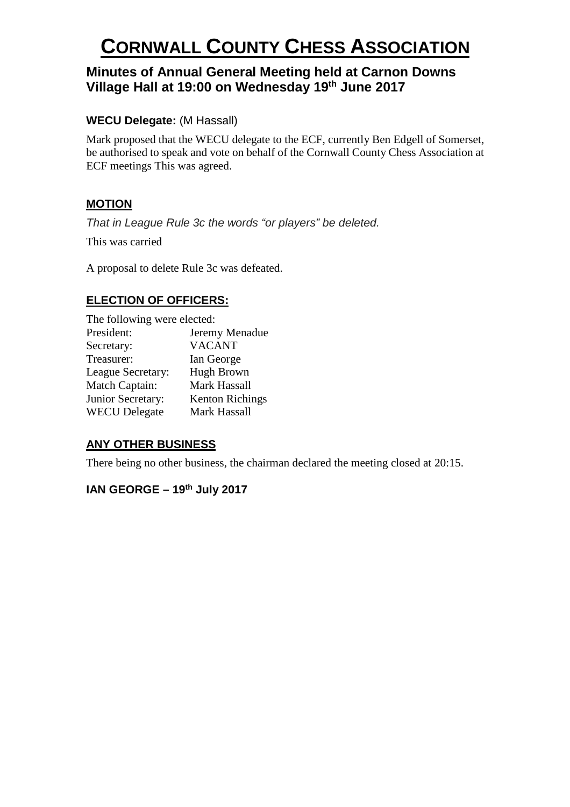# **Minutes of Annual General Meeting held at Carnon Downs Village Hall at 19:00 on Wednesday 19th June 2017**

## **WECU Delegate:** (M Hassall)

Mark proposed that the WECU delegate to the ECF, currently Ben Edgell of Somerset, be authorised to speak and vote on behalf of the Cornwall County Chess Association at ECF meetings This was agreed.

## **MOTION**

*That in League Rule 3c the words "or players" be deleted.*

This was carried

A proposal to delete Rule 3c was defeated.

# **ELECTION OF OFFICERS:**

| The following were elected: |                        |
|-----------------------------|------------------------|
| President:                  | Jeremy Menadue         |
| Secretary:                  | <b>VACANT</b>          |
| Treasurer:                  | Ian George             |
| League Secretary:           | Hugh Brown             |
| Match Captain:              | Mark Hassall           |
| Junior Secretary:           | <b>Kenton Richings</b> |
| <b>WECU</b> Delegate        | Mark Hassall           |

## **ANY OTHER BUSINESS**

There being no other business, the chairman declared the meeting closed at 20:15.

# **IAN GEORGE – 19th July 2017**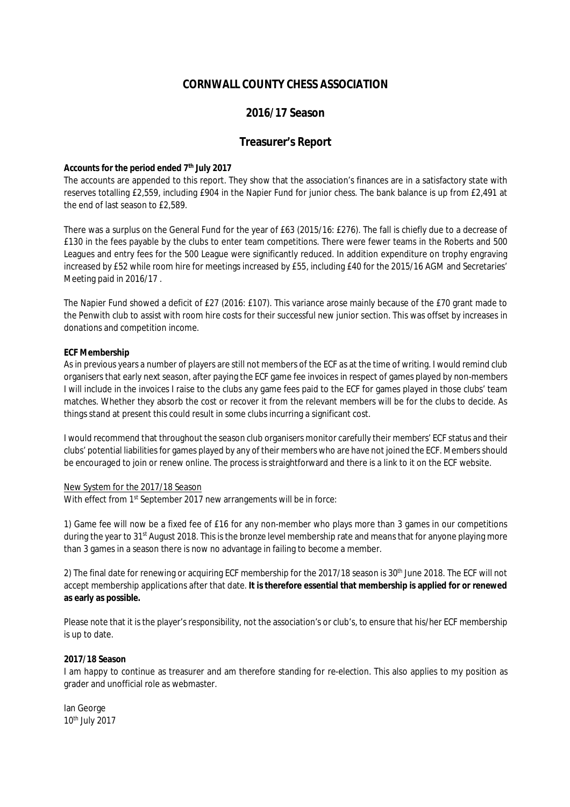## **2016/17 Season**

## **Treasurer's Report**

#### **Accounts for the period ended 7th July 2017**

The accounts are appended to this report. They show that the association's finances are in a satisfactory state with reserves totalling £2,559, including £904 in the Napier Fund for junior chess. The bank balance is up from £2,491 at the end of last season to £2,589.

There was a surplus on the General Fund for the year of £63 (2015/16: £276). The fall is chiefly due to a decrease of £130 in the fees payable by the clubs to enter team competitions. There were fewer teams in the Roberts and 500 Leagues and entry fees for the 500 League were significantly reduced. In addition expenditure on trophy engraving increased by £52 while room hire for meetings increased by £55, including £40 for the 2015/16 AGM and Secretaries' Meeting paid in 2016/17 .

The Napier Fund showed a deficit of £27 (2016: £107). This variance arose mainly because of the £70 grant made to the Penwith club to assist with room hire costs for their successful new junior section. This was offset by increases in donations and competition income.

#### **ECF Membership**

As in previous years a number of players are still not members of the ECF as at the time of writing. I would remind club organisers that early next season, after paying the ECF game fee invoices in respect of games played by non-members I will include in the invoices I raise to the clubs any game fees paid to the ECF for games played in those clubs' team matches. Whether they absorb the cost or recover it from the relevant members will be for the clubs to decide. As things stand at present this could result in some clubs incurring a significant cost.

I would recommend that throughout the season club organisers monitor carefully their members' ECF status and their clubs' potential liabilities for games played by any of their members who are have not joined the ECF. Members should be encouraged to join or renew online. The process is straightforward and there is a link to it on the ECF website.

#### New System for the 2017/18 Season

With effect from 1<sup>st</sup> September 2017 new arrangements will be in force:

1) Game fee will now be a fixed fee of £16 for any non-member who plays more than 3 games in our competitions during the year to 31<sup>st</sup> August 2018. This is the bronze level membership rate and means that for anyone playing more than 3 games in a season there is now no advantage in failing to become a member.

2) The final date for renewing or acquiring ECF membership for the 2017/18 season is  $30<sup>th</sup>$  June 2018. The ECF will not accept membership applications after that date. **It is therefore essential that membership is applied for or renewed as early as possible.**

Please note that it is the player's responsibility, not the association's or club's, to ensure that his/her ECF membership is up to date.

#### **2017/18 Season**

I am happy to continue as treasurer and am therefore standing for re-election. This also applies to my position as grader and unofficial role as webmaster.

Ian George 10th July 2017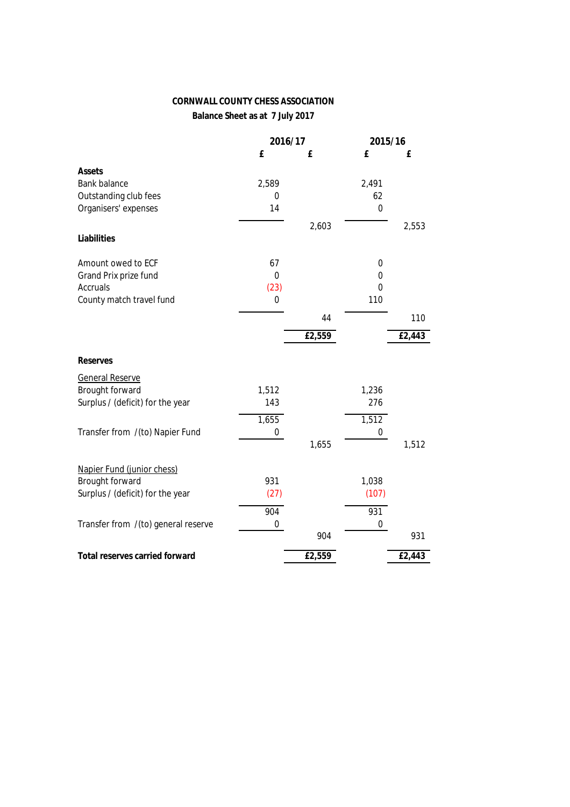**Balance Sheet as at 7 July 2017**

|                                     |          | 2016/17 |           | 2015/16 |
|-------------------------------------|----------|---------|-----------|---------|
|                                     | £        | £       | £         | £       |
| <b>Assets</b>                       |          |         |           |         |
| <b>Bank balance</b>                 | 2,589    |         | 2,491     |         |
| Outstanding club fees               | 0        |         | 62        |         |
| Organisers' expenses                | 14       |         | $\pmb{0}$ |         |
|                                     |          | 2,603   |           | 2,553   |
| Liabilities                         |          |         |           |         |
|                                     |          |         |           |         |
| Amount owed to ECF                  | 67       |         | 0         |         |
| Grand Prix prize fund               | 0        |         | 0         |         |
| <b>Accruals</b>                     | (23)     |         | 0         |         |
| County match travel fund            | $\bf{0}$ |         | 110       |         |
|                                     |          | 44      |           | 110     |
|                                     |          |         |           |         |
|                                     |          | £2,559  |           | £2,443  |
| <b>Reserves</b>                     |          |         |           |         |
| <b>General Reserve</b>              |          |         |           |         |
| Brought forward                     | 1,512    |         | 1,236     |         |
| Surplus / (deficit) for the year    | 143      |         | 276       |         |
|                                     | 1,655    |         | 1,512     |         |
| Transfer from /(to) Napier Fund     | 0        |         | 0         |         |
|                                     |          | 1,655   |           | 1,512   |
|                                     |          |         |           |         |
| Napier Fund (junior chess)          |          |         |           |         |
| Brought forward                     | 931      |         | 1,038     |         |
| Surplus / (deficit) for the year    | (27)     |         | (107)     |         |
|                                     | 904      |         | 931       |         |
| Transfer from /(to) general reserve | 0        |         | 0         |         |
|                                     |          | 904     |           | 931     |
| Total reserves carried forward      |          | £2,559  |           | £2,443  |
|                                     |          |         |           |         |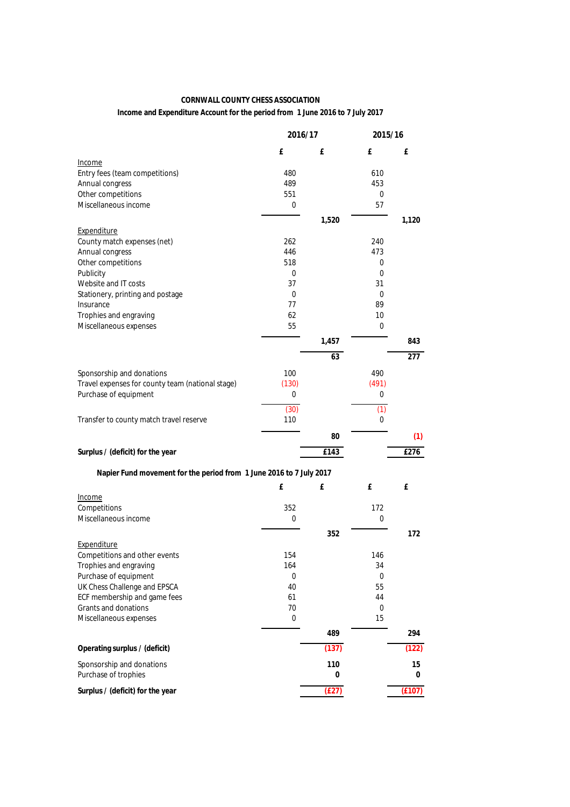**Income and Expenditure Account for the period from 1 June 2016 to 7 July 2017**

|                                                                     | 2016/17     |       | 2015/16  |        |
|---------------------------------------------------------------------|-------------|-------|----------|--------|
|                                                                     | £           | £     | £        | £      |
| Income                                                              |             |       |          |        |
| Entry fees (team competitions)                                      | 480         |       | 610      |        |
| Annual congress                                                     | 489         |       | 453      |        |
| Other competitions<br>Miscellaneous income                          | 551<br>0    |       | 0<br>57  |        |
|                                                                     |             |       |          |        |
| Expenditure                                                         |             | 1,520 |          | 1,120  |
| County match expenses (net)                                         | 262         |       | 240      |        |
| Annual congress                                                     | 446         |       | 473      |        |
| Other competitions                                                  | 518         |       | 0        |        |
| Publicity                                                           | 0           |       | 0        |        |
| Website and IT costs                                                | 37          |       | 31       |        |
| Stationery, printing and postage                                    | 0           |       | 0        |        |
| Insurance                                                           | 77          |       | 89       |        |
| Trophies and engraving                                              | 62          |       | 10       |        |
| Miscellaneous expenses                                              | 55          |       | 0        |        |
|                                                                     |             | 1,457 |          | 843    |
|                                                                     |             | 63    |          | 277    |
| Sponsorship and donations                                           | 100         |       | 490      |        |
| Travel expenses for county team (national stage)                    | (130)       |       | (491)    |        |
| Purchase of equipment                                               | 0           |       | 0        |        |
|                                                                     |             |       |          |        |
|                                                                     | (30)<br>110 |       | (1)<br>0 |        |
| Transfer to county match travel reserve                             |             |       |          |        |
|                                                                     |             | 80    |          | (1)    |
| Surplus / (deficit) for the year                                    |             | £143  |          | £276   |
| Napier Fund movement for the period from 1 June 2016 to 7 July 2017 |             |       |          |        |
|                                                                     | £           | £     | £        | £      |
| Income                                                              |             |       |          |        |
| Competitions                                                        | 352         |       | 172      |        |
| Miscellaneous income                                                | 0           |       | 0        |        |
|                                                                     |             | 352   |          | 172    |
| Expenditure                                                         |             |       |          |        |
| Competitions and other events                                       | 154         |       | 146      |        |
| Trophies and engraving                                              | 164         |       | 34       |        |
| Purchase of equipment                                               | 0           |       | 0        |        |
| UK Chess Challenge and EPSCA                                        | 40          |       | 55       |        |
| ECF membership and game fees<br><b>Grants and donations</b>         | 61          |       | 44       |        |
|                                                                     | 70          |       | 0        |        |
| Miscellaneous expenses                                              | 0           |       | 15       |        |
|                                                                     |             | 489   |          | 294    |
| Operating surplus / (deficit)                                       |             | (137) |          | (122)  |
| Sponsorship and donations                                           |             | 110   |          | 15     |
| Purchase of trophies                                                |             | 0     |          | 0      |
| Surplus / (deficit) for the year                                    |             | (E27) |          | (E107) |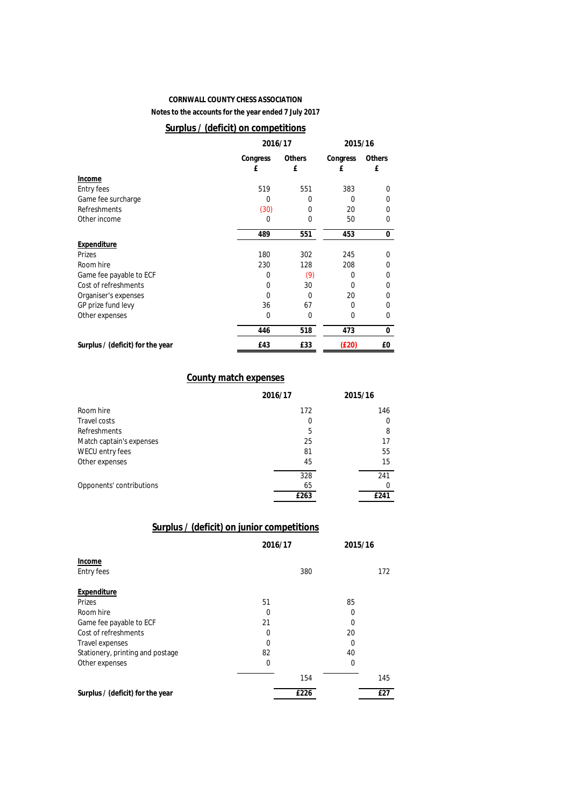**Notes to the accounts for the year ended 7 July 2017**

## **Surplus / (deficit) on competitions**

|                                  | 2016/17  |               | 2015/16  |        |  |
|----------------------------------|----------|---------------|----------|--------|--|
|                                  | Congress | <b>Others</b> | Congress | Others |  |
|                                  | £        | £             | £        | £      |  |
| Income                           |          |               |          |        |  |
| <b>Entry fees</b>                | 519      | 551           | 383      | 0      |  |
| Game fee surcharge               | 0        | 0             | 0        | 0      |  |
| <b>Refreshments</b>              | (30)     | 0             | 20       | 0      |  |
| Other income                     | 0        | 0             | 50       | 0      |  |
|                                  | 489      | 551           | 453      | 0      |  |
| Expenditure                      |          |               |          |        |  |
| Prizes                           | 180      | 302           | 245      | 0      |  |
| Room hire                        | 230      | 128           | 208      | 0      |  |
| Game fee payable to ECF          | 0        | (9)           | 0        | 0      |  |
| Cost of refreshments             | 0        | 30            | ŋ        | 0      |  |
| Organiser's expenses             | 0        | 0             | 20       | 0      |  |
| GP prize fund levy               | 36       | 67            | 0        | 0      |  |
| Other expenses                   | 0        | 0             | 0        | 0      |  |
|                                  | 446      | 518           | 473      | 0      |  |
| Surplus / (deficit) for the year | £43      | £33           | (E20)    | £0     |  |

### **County match expenses**

|                          | 2016/17 | 2015/16 |
|--------------------------|---------|---------|
| Room hire                | 172     | 146     |
| Travel costs             | 0       | 0       |
| <b>Refreshments</b>      | 5       | 8       |
| Match captain's expenses | 25      | 17      |
| WECU entry fees          | 81      | 55      |
| Other expenses           | 45      | 15      |
|                          | 328     | 241     |
| Opponents' contributions | 65      | 0       |
|                          | £263    | £241    |

## **Surplus / (deficit) on junior competitions**

|                                  | 2016/17 |      | 2015/16 |     |
|----------------------------------|---------|------|---------|-----|
| Income                           |         |      |         |     |
| <b>Entry fees</b>                |         | 380  |         | 172 |
| Expenditure                      |         |      |         |     |
| <b>Prizes</b>                    | 51      |      | 85      |     |
| Room hire                        | 0       |      | 0       |     |
| Game fee payable to ECF          | 21      |      | 0       |     |
| Cost of refreshments             | 0       |      | 20      |     |
| <b>Travel expenses</b>           | 0       |      | 0       |     |
| Stationery, printing and postage | 82      |      | 40      |     |
| Other expenses                   | 0       |      | 0       |     |
|                                  |         | 154  |         | 145 |
| Surplus / (deficit) for the year |         | £226 |         | £27 |